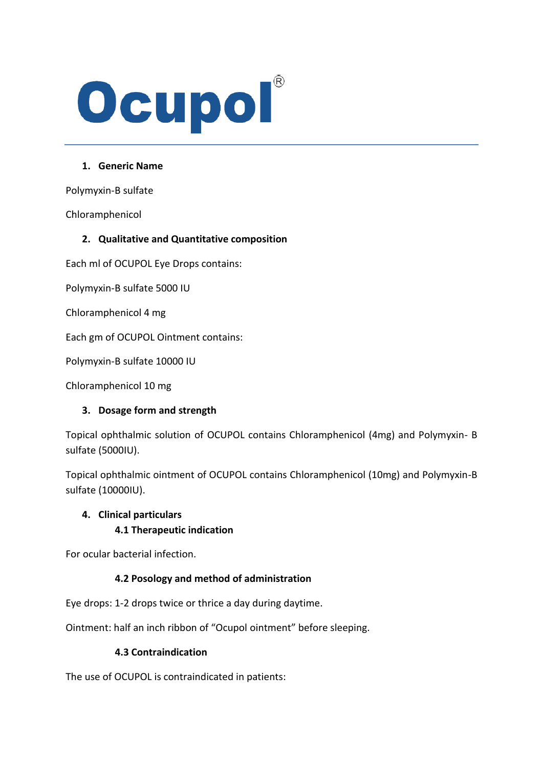# Ocupol

## **1. Generic Name**

Polymyxin-B sulfate

Chloramphenicol

## **2. Qualitative and Quantitative composition**

Each ml of OCUPOL Eye Drops contains:

Polymyxin-B sulfate 5000 IU

Chloramphenicol 4 mg

Each gm of OCUPOL Ointment contains:

Polymyxin-B sulfate 10000 IU

Chloramphenicol 10 mg

#### **3. Dosage form and strength**

Topical ophthalmic solution of OCUPOL contains Chloramphenicol (4mg) and Polymyxin- B sulfate (5000IU).

Topical ophthalmic ointment of OCUPOL contains Chloramphenicol (10mg) and Polymyxin-B sulfate (10000IU).

#### **4. Clinical particulars**

#### **4.1 Therapeutic indication**

For ocular bacterial infection.

#### **4.2 Posology and method of administration**

Eye drops: 1-2 drops twice or thrice a day during daytime.

Ointment: half an inch ribbon of "Ocupol ointment" before sleeping.

#### **4.3 Contraindication**

The use of OCUPOL is contraindicated in patients: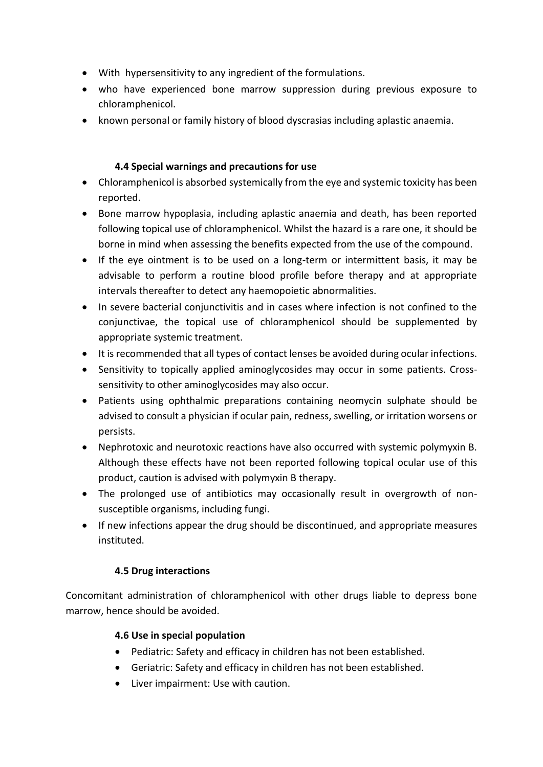- With hypersensitivity to any ingredient of the formulations.
- who have experienced bone marrow suppression during previous exposure to chloramphenicol.
- known personal or family history of blood dyscrasias including aplastic anaemia.

## **4.4 Special warnings and precautions for use**

- Chloramphenicol is absorbed systemically from the eye and systemic toxicity has been reported.
- Bone marrow hypoplasia, including aplastic anaemia and death, has been reported following topical use of chloramphenicol. Whilst the hazard is a rare one, it should be borne in mind when assessing the benefits expected from the use of the compound.
- If the eye ointment is to be used on a long-term or intermittent basis, it may be advisable to perform a routine blood profile before therapy and at appropriate intervals thereafter to detect any haemopoietic abnormalities.
- In severe bacterial conjunctivitis and in cases where infection is not confined to the conjunctivae, the topical use of chloramphenicol should be supplemented by appropriate systemic treatment.
- It is recommended that all types of contact lenses be avoided during ocular infections.
- Sensitivity to topically applied aminoglycosides may occur in some patients. Crosssensitivity to other aminoglycosides may also occur.
- Patients using ophthalmic preparations containing neomycin sulphate should be advised to consult a physician if ocular pain, redness, swelling, or irritation worsens or persists.
- Nephrotoxic and neurotoxic reactions have also occurred with systemic polymyxin B. Although these effects have not been reported following topical ocular use of this product, caution is advised with polymyxin B therapy.
- The prolonged use of antibiotics may occasionally result in overgrowth of nonsusceptible organisms, including fungi.
- If new infections appear the drug should be discontinued, and appropriate measures instituted.

# **4.5 Drug interactions**

Concomitant administration of chloramphenicol with other drugs liable to depress bone marrow, hence should be avoided.

# **4.6 Use in special population**

- Pediatric: Safety and efficacy in children has not been established.
- Geriatric: Safety and efficacy in children has not been established.
- Liver impairment: Use with caution.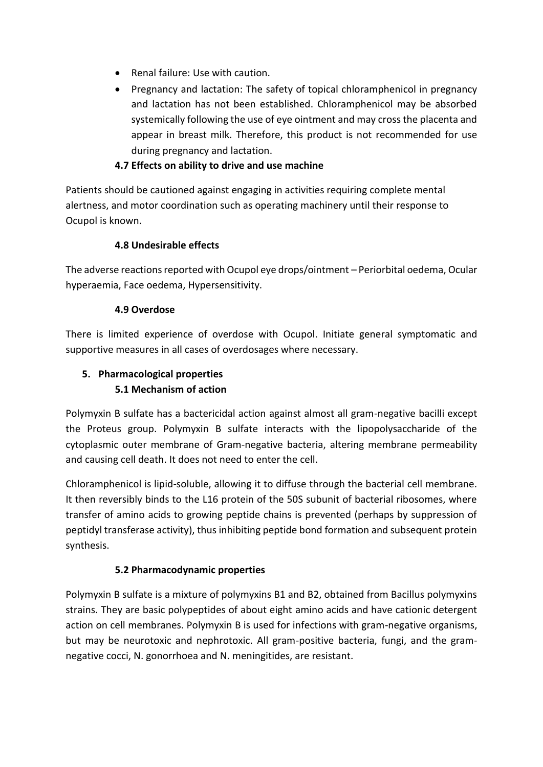- Renal failure: Use with caution.
- Pregnancy and lactation: The safety of topical chloramphenicol in pregnancy and lactation has not been established. Chloramphenicol may be absorbed systemically following the use of eye ointment and may cross the placenta and appear in breast milk. Therefore, this product is not recommended for use during pregnancy and lactation.

## **4.7 Effects on ability to drive and use machine**

Patients should be cautioned against engaging in activities requiring complete mental alertness, and motor coordination such as operating machinery until their response to Ocupol is known.

## **4.8 Undesirable effects**

The adverse reactions reported with Ocupol eye drops/ointment – Periorbital oedema, Ocular hyperaemia, Face oedema, Hypersensitivity.

## **4.9 Overdose**

There is limited experience of overdose with Ocupol. Initiate general symptomatic and supportive measures in all cases of overdosages where necessary.

# **5. Pharmacological properties 5.1 Mechanism of action**

Polymyxin B sulfate has a bactericidal action against almost all gram-negative bacilli except the Proteus group. Polymyxin B sulfate interacts with the lipopolysaccharide of the cytoplasmic outer membrane of Gram-negative bacteria, altering membrane permeability and causing cell death. It does not need to enter the cell.

Chloramphenicol is lipid-soluble, allowing it to diffuse through the bacterial cell membrane. It then reversibly binds to the L16 protein of the 50S subunit of bacterial ribosomes, where transfer of amino acids to growing peptide chains is prevented (perhaps by suppression of peptidyl transferase activity), thus inhibiting peptide bond formation and subsequent protein synthesis.

# **5.2 Pharmacodynamic properties**

Polymyxin B sulfate is a mixture of polymyxins B1 and B2, obtained from Bacillus polymyxins strains. They are basic polypeptides of about eight amino acids and have cationic detergent action on cell membranes. Polymyxin B is used for infections with gram-negative organisms, but may be neurotoxic and nephrotoxic. All gram-positive bacteria, fungi, and the gramnegative cocci, N. gonorrhoea and N. meningitides, are resistant.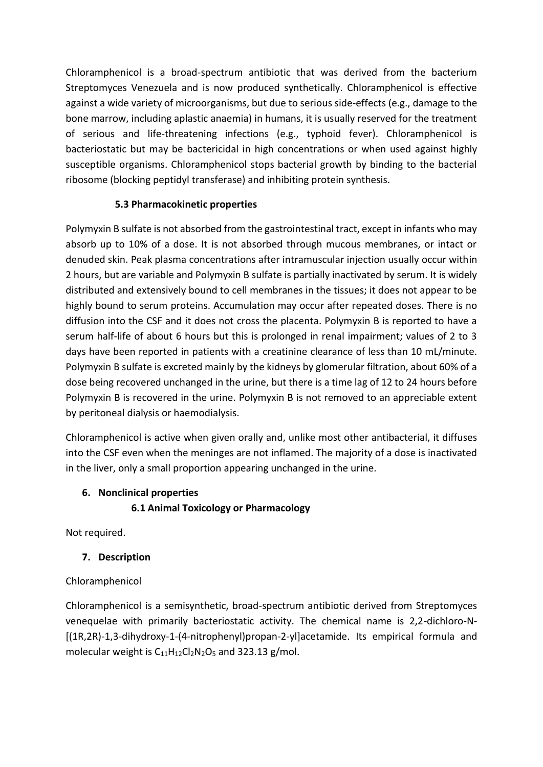Chloramphenicol is a broad-spectrum antibiotic that was derived from the bacterium Streptomyces Venezuela and is now produced synthetically. Chloramphenicol is effective against a wide variety of microorganisms, but due to serious side-effects (e.g., damage to the bone marrow, including aplastic anaemia) in humans, it is usually reserved for the treatment of serious and life-threatening infections (e.g., typhoid fever). Chloramphenicol is bacteriostatic but may be bactericidal in high concentrations or when used against highly susceptible organisms. Chloramphenicol stops bacterial growth by binding to the bacterial ribosome (blocking peptidyl transferase) and inhibiting protein synthesis.

## **5.3 Pharmacokinetic properties**

Polymyxin B sulfate is not absorbed from the gastrointestinal tract, except in infants who may absorb up to 10% of a dose. It is not absorbed through mucous membranes, or intact or denuded skin. Peak plasma concentrations after intramuscular injection usually occur within 2 hours, but are variable and Polymyxin B sulfate is partially inactivated by serum. It is widely distributed and extensively bound to cell membranes in the tissues; it does not appear to be highly bound to serum proteins. Accumulation may occur after repeated doses. There is no diffusion into the CSF and it does not cross the placenta. Polymyxin B is reported to have a serum half-life of about 6 hours but this is prolonged in renal impairment; values of 2 to 3 days have been reported in patients with a creatinine clearance of less than 10 mL/minute. Polymyxin B sulfate is excreted mainly by the kidneys by glomerular filtration, about 60% of a dose being recovered unchanged in the urine, but there is a time lag of 12 to 24 hours before Polymyxin B is recovered in the urine. Polymyxin B is not removed to an appreciable extent by peritoneal dialysis or haemodialysis.

Chloramphenicol is active when given orally and, unlike most other antibacterial, it diffuses into the CSF even when the meninges are not inflamed. The majority of a dose is inactivated in the liver, only a small proportion appearing unchanged in the urine.

# **6. Nonclinical properties**

**6.1 Animal Toxicology or Pharmacology**

Not required.

# **7. Description**

# Chloramphenicol

Chloramphenicol is a semisynthetic, broad-spectrum antibiotic derived from Streptomyces venequelae with primarily bacteriostatic activity. The chemical name is 2,2-dichloro-N- [(1R,2R)-1,3-dihydroxy-1-(4-nitrophenyl)propan-2-yl]acetamide. Its empirical formula and molecular weight is  $C_{11}H_{12}Cl_2N_2O_5$  and 323.13 g/mol.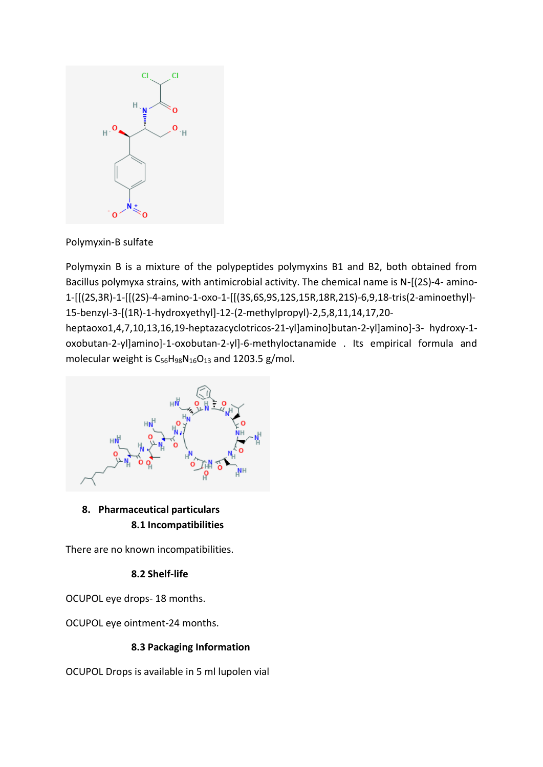

Polymyxin-B sulfate

Polymyxin B is a mixture of the polypeptides polymyxins B1 and B2, both obtained from Bacillus polymyxa strains, with antimicrobial activity. The chemical name is N-[(2S)-4- amino-1-[[(2S,3R)-1-[[(2S)-4-amino-1-oxo-1-[[(3S,6S,9S,12S,15R,18R,21S)-6,9,18-tris(2-aminoethyl)- 15-benzyl-3-[(1R)-1-hydroxyethyl]-12-(2-methylpropyl)-2,5,8,11,14,17,20-

heptaoxo1,4,7,10,13,16,19-heptazacyclotricos-21-yl]amino]butan-2-yl]amino]-3- hydroxy-1 oxobutan-2-yl]amino]-1-oxobutan-2-yl]-6-methyloctanamide . Its empirical formula and molecular weight is  $C_5$ 6H<sub>98</sub>N<sub>16</sub>O<sub>13</sub> and 1203.5 g/mol.



**8. Pharmaceutical particulars 8.1 Incompatibilities**

There are no known incompatibilities.

# **8.2 Shelf-life**

OCUPOL eye drops- 18 months.

OCUPOL eye ointment-24 months.

## **8.3 Packaging Information**

OCUPOL Drops is available in 5 ml lupolen vial